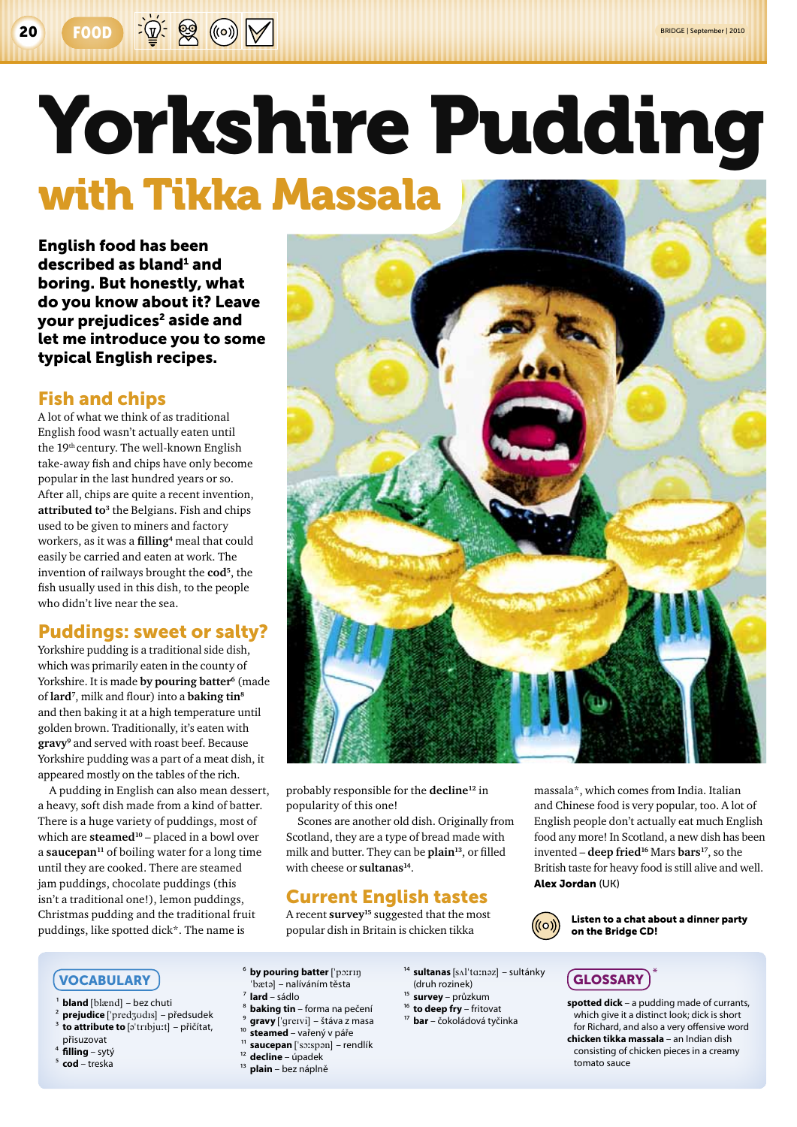# Yorkshire Pudding with Tikka Massala

English food has been described as bland<sup>1</sup> and boring. But honestly, what do you know about it? Leave your prejudices<sup>2</sup> aside and let me introduce you to some typical English recipes.

## Fish and chips

A lot of what we think of as traditional English food wasn't actually eaten until the 19th century. The well-known English take‑away fish and chips have only become popular in the last hundred years or so. After all, chips are quite a recent invention, attributed to<sup>3</sup> the Belgians. Fish and chips used to be given to miners and factory workers, as it was a **filling4** meal that could easily be carried and eaten at work. The invention of railways brought the **cod5**, the fish usually used in this dish, to the people who didn't live near the sea.

## Puddings: sweet or salty?

Yorkshire pudding is a traditional side dish, which was primarily eaten in the county of Yorkshire. It is made by *pouring* batter<sup>6</sup> (made of **lard7**, milk and flour) into a **baking tin8** and then baking it at a high temperature until golden brown. Traditionally, it's eaten with **gravy9** and served with roast beef. Because Yorkshire pudding was a part of a meat dish, it appeared mostly on the tables of the rich.

A pudding in English can also mean dessert, a heavy, soft dish made from a kind of batter. There is a huge variety of puddings, most of which are **steamed<sup>10</sup>** – placed in a bowl over a **saucepan11** of boiling water for a long time until they are cooked. There are steamed jam puddings, chocolate puddings (this isn't a traditional one!), lemon puddings, Christmas pudding and the traditional fruit puddings, like spotted dick\*. The name is



probably responsible for the **decline12** in popularity of this one!

Scones are another old dish. Originally from Scotland, they are a type of bread made with milk and butter. They can be **plain13**, or filled with cheese or **sultanas14**.

# Current English tastes

A recent **survey15** suggested that the most popular dish in Britain is chicken tikka

massala\*, which comes from India. Italian and Chinese food is very popular, too. A lot of English people don't actually eat much English food any more! In Scotland, a new dish has been invented – **deep fried16** Mars **bars17**, so the British taste for heavy food is still alive and well. Alex Jordan (UK)



Listen to a chat about a dinner party on the Bridge CD!

#### Vocabulary

- **bland** [blænd] bez chuti
- prejudice ['predzudIs] předsudek
- 3 **to attribute to** [@"trIbju;t] přičítat,
- přisuzovat 4 **filling** – sytý
- 5 **cod** treska
- <sup>6</sup> by pouring batter ['po:rɪŋ "bæta] – nalíváním těsta
- 7 **lard** sádlo
- 
- 8 **baking tin** forma na pečení gravy ['greɪvi] – štáva z masa
- steamed vařený v páře
- saucepan ['soːspən] rendlík
- 12 **decline**  úpadek
- 13 **plain**  bez náplně
- <sup>14</sup> sultanas [sʌlˈtɑːnəz] sultánky (druh rozinek)
- 15 **survey** průzkum
- 16 **to deep fry** fritovat
- 17 **bar**  čokoládová tyčinka

 $\overline{G}$ LOSSARY **spotted dick** – a pudding made of currants, which give it a distinct look; dick is short

for Richard, and also a very offensive word **chicken tikka massala** – an Indian dish consisting of chicken pieces in a creamy tomato sauce